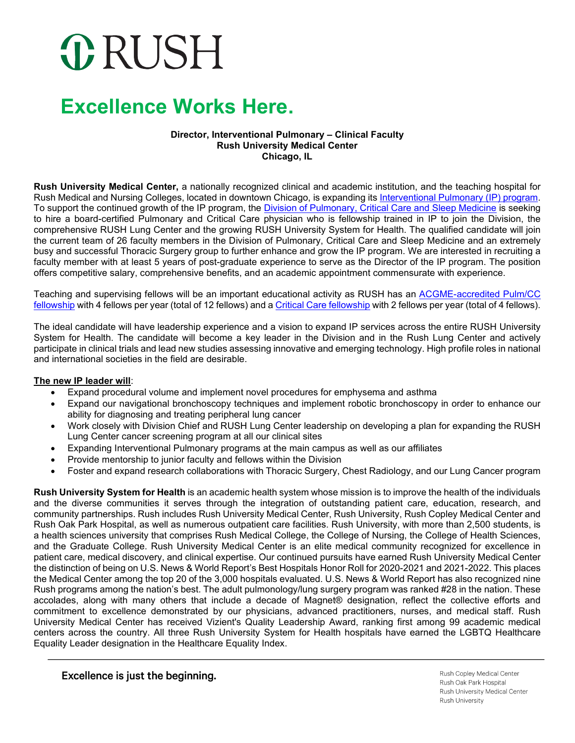# **ORUSH**

### **Excellence Works Here.**

#### **Director, Interventional Pulmonary – Clinical Faculty Rush University Medical Center Chicago, IL**

**Rush University Medical Center,** a nationally recognized clinical and academic institution, and the teaching hospital for Rush Medical and Nursing Colleges, located in downtown Chicago, is expanding its [Interventional Pulmonary \(IP\) program.](https://www.rush.edu/services/interventional-pulmonology-services) To support the continued growth of the IP program, the [Division of Pulmonary, Critical Care and Sleep Medicine](https://www.rushu.rush.edu/rush-medical-college/departments/internal-medicine/department-internal-medicine-areas-expertise#pulmonary) is seeking to hire a board-certified Pulmonary and Critical Care physician who is fellowship trained in IP to join the Division, the comprehensive RUSH Lung Center and the growing RUSH University System for Health. The qualified candidate will join the current team of 26 faculty members in the Division of Pulmonary, Critical Care and Sleep Medicine and an extremely busy and successful Thoracic Surgery group to further enhance and grow the IP program. We are interested in recruiting a faculty member with at least 5 years of post-graduate experience to serve as the Director of the IP program. The position offers competitive salary, comprehensive benefits, and an academic appointment commensurate with experience.

Teaching and supervising fellows will be an important educational activity as RUSH has an [ACGME-accredited Pulm/CC](https://www.rushu.rush.edu/education-and-training/graduate-medical-education/fellowship-programs/pulmonary-and-critical-care-medicine-fellowship-0)  [fellowship](https://www.rushu.rush.edu/education-and-training/graduate-medical-education/fellowship-programs/pulmonary-and-critical-care-medicine-fellowship-0) with 4 fellows per year (total of 12 fellows) and [a Critical Care fellowship](https://www.rushu.rush.edu/education-and-training/graduate-medical-education/fellowship-programs/critical-care-fellowship) with 2 fellows per year (total of 4 fellows).

The ideal candidate will have leadership experience and a vision to expand IP services across the entire RUSH University System for Health. The candidate will become a key leader in the Division and in the Rush Lung Center and actively participate in clinical trials and lead new studies assessing innovative and emerging technology. High profile roles in national and international societies in the field are desirable.

#### **The new IP leader will**:

- Expand procedural volume and implement novel procedures for emphysema and asthma
- Expand our navigational bronchoscopy techniques and implement robotic bronchoscopy in order to enhance our ability for diagnosing and treating peripheral lung cancer
- Work closely with Division Chief and RUSH Lung Center leadership on developing a plan for expanding the RUSH Lung Center cancer screening program at all our clinical sites
- Expanding Interventional Pulmonary programs at the main campus as well as our affiliates
- Provide mentorship to junior faculty and fellows within the Division
- Foster and expand research collaborations with Thoracic Surgery, Chest Radiology, and our Lung Cancer program

**Rush University System for Health** is an academic health system whose mission is to improve the health of the individuals and the diverse communities it serves through the integration of outstanding patient care, education, research, and community partnerships. Rush includes Rush University Medical Center, Rush University, Rush Copley Medical Center and Rush Oak Park Hospital, as well as numerous outpatient care facilities. Rush University, with more than 2,500 students, is a health sciences university that comprises Rush Medical College, the College of Nursing, the College of Health Sciences, and the Graduate College. Rush University Medical Center is an elite medical community recognized for excellence in patient care, medical discovery, and clinical expertise. Our continued pursuits have earned Rush University Medical Center the distinction of being on U.S. News & World Report's Best Hospitals Honor Roll for 2020-2021 and 2021-2022. This places the Medical Center among the top 20 of the 3,000 hospitals evaluated. U.S. News & World Report has also recognized nine Rush programs among the nation's best. The adult pulmonology/lung surgery program was ranked #28 in the nation. These accolades, along with many others that include a decade of Magnet® designation, reflect the collective efforts and commitment to excellence demonstrated by our physicians, advanced practitioners, nurses, and medical staff. Rush University Medical Center has received Vizient's Quality Leadership Award, ranking first among 99 academic medical centers across the country. All three Rush University System for Health hospitals have earned the LGBTQ Healthcare Equality Leader designation in the Healthcare Equality Index.

### Excellence is just the beginning.

Rush Copley Medical Center Rush Oak Park Hospital Rush University Medical Center **Rush University**